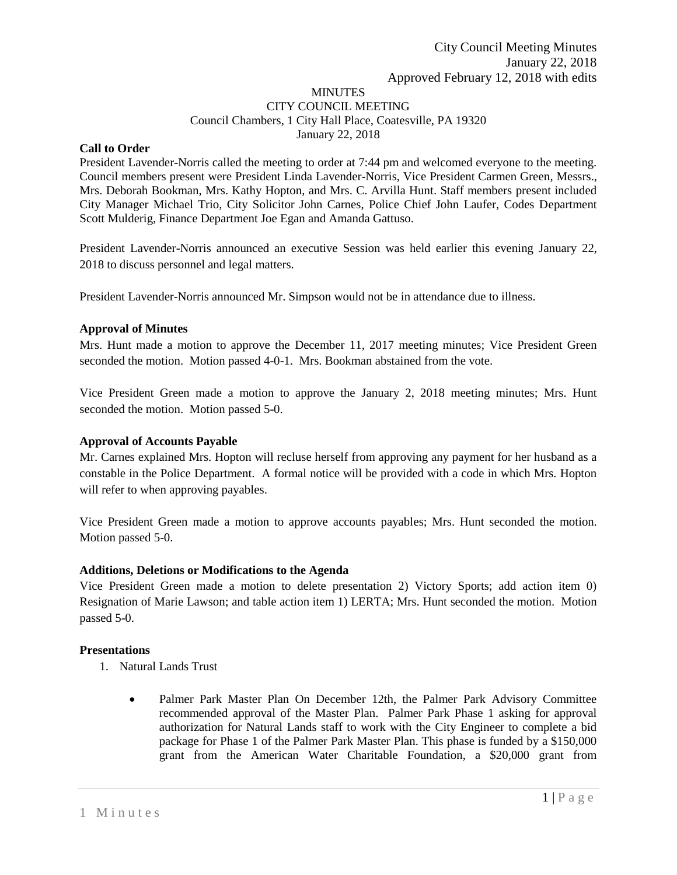#### MINUTES CITY COUNCIL MEETING Council Chambers, 1 City Hall Place, Coatesville, PA 19320 January 22, 2018

# **Call to Order**

President Lavender-Norris called the meeting to order at 7:44 pm and welcomed everyone to the meeting. Council members present were President Linda Lavender-Norris, Vice President Carmen Green, Messrs., Mrs. Deborah Bookman, Mrs. Kathy Hopton, and Mrs. C. Arvilla Hunt. Staff members present included City Manager Michael Trio, City Solicitor John Carnes, Police Chief John Laufer, Codes Department Scott Mulderig, Finance Department Joe Egan and Amanda Gattuso.

President Lavender-Norris announced an executive Session was held earlier this evening January 22, 2018 to discuss personnel and legal matters.

President Lavender-Norris announced Mr. Simpson would not be in attendance due to illness.

# **Approval of Minutes**

Mrs. Hunt made a motion to approve the December 11, 2017 meeting minutes; Vice President Green seconded the motion. Motion passed 4-0-1. Mrs. Bookman abstained from the vote.

Vice President Green made a motion to approve the January 2, 2018 meeting minutes; Mrs. Hunt seconded the motion. Motion passed 5-0.

# **Approval of Accounts Payable**

Mr. Carnes explained Mrs. Hopton will recluse herself from approving any payment for her husband as a constable in the Police Department. A formal notice will be provided with a code in which Mrs. Hopton will refer to when approving payables.

Vice President Green made a motion to approve accounts payables; Mrs. Hunt seconded the motion. Motion passed 5-0.

# **Additions, Deletions or Modifications to the Agenda**

Vice President Green made a motion to delete presentation 2) Victory Sports; add action item 0) Resignation of Marie Lawson; and table action item 1) LERTA; Mrs. Hunt seconded the motion. Motion passed 5-0.

# **Presentations**

- 1. Natural Lands Trust
	- Palmer Park Master Plan On December 12th, the Palmer Park Advisory Committee recommended approval of the Master Plan. Palmer Park Phase 1 asking for approval authorization for Natural Lands staff to work with the City Engineer to complete a bid package for Phase 1 of the Palmer Park Master Plan. This phase is funded by a \$150,000 grant from the American Water Charitable Foundation, a \$20,000 grant from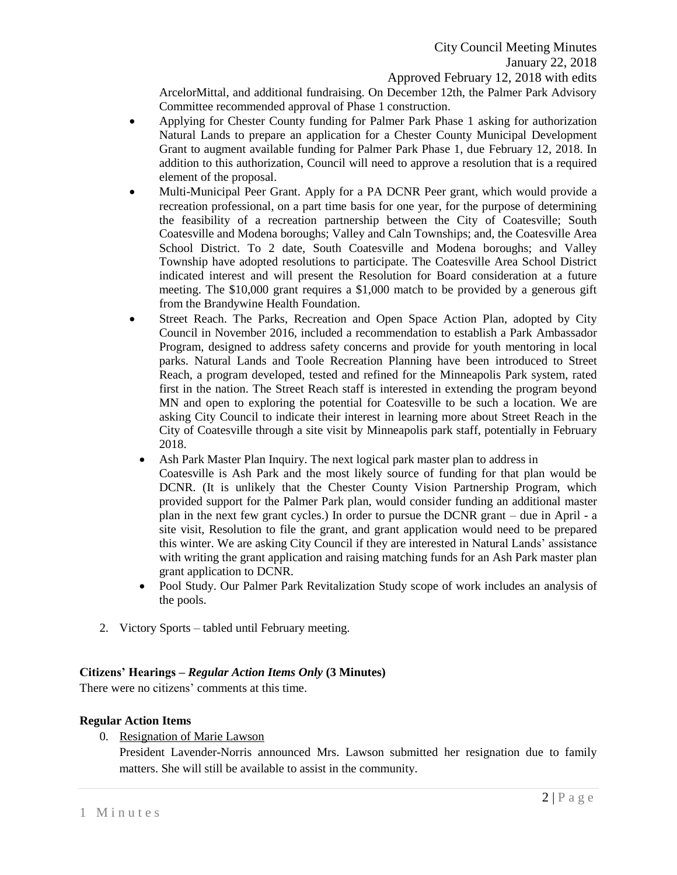ArcelorMittal, and additional fundraising. On December 12th, the Palmer Park Advisory Committee recommended approval of Phase 1 construction.

- Applying for Chester County funding for Palmer Park Phase 1 asking for authorization Natural Lands to prepare an application for a Chester County Municipal Development Grant to augment available funding for Palmer Park Phase 1, due February 12, 2018. In addition to this authorization, Council will need to approve a resolution that is a required element of the proposal.
- Multi-Municipal Peer Grant. Apply for a PA DCNR Peer grant, which would provide a recreation professional, on a part time basis for one year, for the purpose of determining the feasibility of a recreation partnership between the City of Coatesville; South Coatesville and Modena boroughs; Valley and Caln Townships; and, the Coatesville Area School District. To 2 date, South Coatesville and Modena boroughs; and Valley Township have adopted resolutions to participate. The Coatesville Area School District indicated interest and will present the Resolution for Board consideration at a future meeting. The \$10,000 grant requires a \$1,000 match to be provided by a generous gift from the Brandywine Health Foundation.
- Street Reach. The Parks, Recreation and Open Space Action Plan, adopted by City Council in November 2016, included a recommendation to establish a Park Ambassador Program, designed to address safety concerns and provide for youth mentoring in local parks. Natural Lands and Toole Recreation Planning have been introduced to Street Reach, a program developed, tested and refined for the Minneapolis Park system, rated first in the nation. The Street Reach staff is interested in extending the program beyond MN and open to exploring the potential for Coatesville to be such a location. We are asking City Council to indicate their interest in learning more about Street Reach in the City of Coatesville through a site visit by Minneapolis park staff, potentially in February 2018.
	- Ash Park Master Plan Inquiry. The next logical park master plan to address in Coatesville is Ash Park and the most likely source of funding for that plan would be DCNR. (It is unlikely that the Chester County Vision Partnership Program, which provided support for the Palmer Park plan, would consider funding an additional master plan in the next few grant cycles.) In order to pursue the DCNR grant – due in April - a site visit, Resolution to file the grant, and grant application would need to be prepared this winter. We are asking City Council if they are interested in Natural Lands' assistance with writing the grant application and raising matching funds for an Ash Park master plan grant application to DCNR.
	- Pool Study. Our Palmer Park Revitalization Study scope of work includes an analysis of the pools.
- 2. Victory Sports tabled until February meeting.

# **Citizens' Hearings –** *Regular Action Items Only* **(3 Minutes)**

There were no citizens' comments at this time.

# **Regular Action Items**

0. Resignation of Marie Lawson

President Lavender-Norris announced Mrs. Lawson submitted her resignation due to family matters. She will still be available to assist in the community.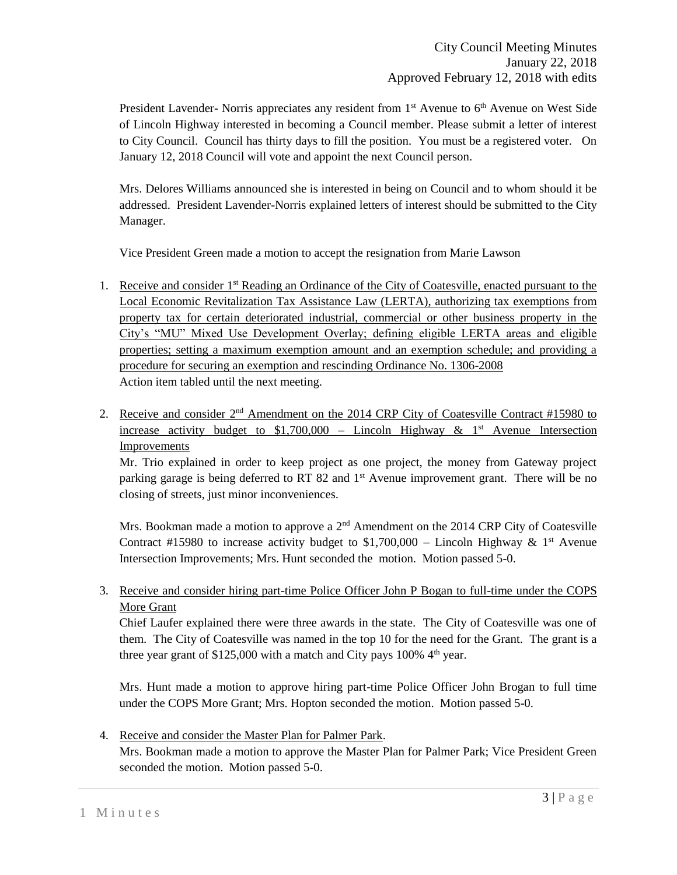President Lavender- Norris appreciates any resident from  $1<sup>st</sup>$  Avenue to  $6<sup>th</sup>$  Avenue on West Side of Lincoln Highway interested in becoming a Council member. Please submit a letter of interest to City Council. Council has thirty days to fill the position. You must be a registered voter. On January 12, 2018 Council will vote and appoint the next Council person.

Mrs. Delores Williams announced she is interested in being on Council and to whom should it be addressed. President Lavender-Norris explained letters of interest should be submitted to the City Manager.

Vice President Green made a motion to accept the resignation from Marie Lawson

- 1. Receive and consider 1<sup>st</sup> Reading an Ordinance of the City of Coatesville, enacted pursuant to the Local Economic Revitalization Tax Assistance Law (LERTA), authorizing tax exemptions from property tax for certain deteriorated industrial, commercial or other business property in the City's "MU" Mixed Use Development Overlay; defining eligible LERTA areas and eligible properties; setting a maximum exemption amount and an exemption schedule; and providing a procedure for securing an exemption and rescinding Ordinance No. 1306-2008 Action item tabled until the next meeting.
- 2. Receive and consider 2<sup>nd</sup> Amendment on the 2014 CRP City of Coatesville Contract #15980 to increase activity budget to  $$1,700,000$  – Lincoln Highway & 1<sup>st</sup> Avenue Intersection **Improvements**

Mr. Trio explained in order to keep project as one project, the money from Gateway project parking garage is being deferred to RT 82 and  $1<sup>st</sup>$  Avenue improvement grant. There will be no closing of streets, just minor inconveniences.

Mrs. Bookman made a motion to approve a  $2<sup>nd</sup>$  Amendment on the 2014 CRP City of Coatesville Contract #15980 to increase activity budget to  $$1,700,000 -$  Lincoln Highway & 1<sup>st</sup> Avenue Intersection Improvements; Mrs. Hunt seconded the motion. Motion passed 5-0.

3. Receive and consider hiring part-time Police Officer John P Bogan to full-time under the COPS More Grant

Chief Laufer explained there were three awards in the state. The City of Coatesville was one of them. The City of Coatesville was named in the top 10 for the need for the Grant. The grant is a three year grant of  $$125,000$  with a match and City pays 100% 4<sup>th</sup> year.

Mrs. Hunt made a motion to approve hiring part-time Police Officer John Brogan to full time under the COPS More Grant; Mrs. Hopton seconded the motion. Motion passed 5-0.

4. Receive and consider the Master Plan for Palmer Park. Mrs. Bookman made a motion to approve the Master Plan for Palmer Park; Vice President Green seconded the motion. Motion passed 5-0.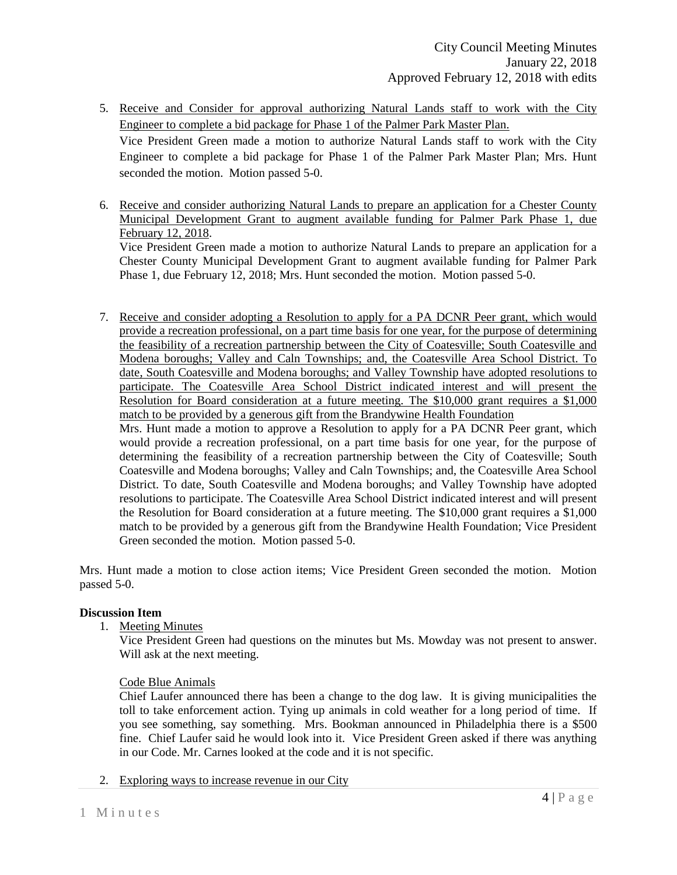- 5. Receive and Consider for approval authorizing Natural Lands staff to work with the City Engineer to complete a bid package for Phase 1 of the Palmer Park Master Plan. Vice President Green made a motion to authorize Natural Lands staff to work with the City Engineer to complete a bid package for Phase 1 of the Palmer Park Master Plan; Mrs. Hunt seconded the motion. Motion passed 5-0.
- 6. Receive and consider authorizing Natural Lands to prepare an application for a Chester County Municipal Development Grant to augment available funding for Palmer Park Phase 1, due February 12, 2018. Vice President Green made a motion to authorize Natural Lands to prepare an application for a Chester County Municipal Development Grant to augment available funding for Palmer Park Phase 1, due February 12, 2018; Mrs. Hunt seconded the motion. Motion passed 5-0.
- 7. Receive and consider adopting a Resolution to apply for a PA DCNR Peer grant, which would provide a recreation professional, on a part time basis for one year, for the purpose of determining the feasibility of a recreation partnership between the City of Coatesville; South Coatesville and Modena boroughs; Valley and Caln Townships; and, the Coatesville Area School District. To date, South Coatesville and Modena boroughs; and Valley Township have adopted resolutions to participate. The Coatesville Area School District indicated interest and will present the Resolution for Board consideration at a future meeting. The \$10,000 grant requires a \$1,000 match to be provided by a generous gift from the Brandywine Health Foundation

Mrs. Hunt made a motion to approve a Resolution to apply for a PA DCNR Peer grant, which would provide a recreation professional, on a part time basis for one year, for the purpose of determining the feasibility of a recreation partnership between the City of Coatesville; South Coatesville and Modena boroughs; Valley and Caln Townships; and, the Coatesville Area School District. To date, South Coatesville and Modena boroughs; and Valley Township have adopted resolutions to participate. The Coatesville Area School District indicated interest and will present the Resolution for Board consideration at a future meeting. The \$10,000 grant requires a \$1,000 match to be provided by a generous gift from the Brandywine Health Foundation; Vice President Green seconded the motion. Motion passed 5-0.

Mrs. Hunt made a motion to close action items; Vice President Green seconded the motion. Motion passed 5-0.

# **Discussion Item**

1. Meeting Minutes

Vice President Green had questions on the minutes but Ms. Mowday was not present to answer. Will ask at the next meeting.

# Code Blue Animals

Chief Laufer announced there has been a change to the dog law. It is giving municipalities the toll to take enforcement action. Tying up animals in cold weather for a long period of time. If you see something, say something. Mrs. Bookman announced in Philadelphia there is a \$500 fine. Chief Laufer said he would look into it. Vice President Green asked if there was anything in our Code. Mr. Carnes looked at the code and it is not specific.

2. Exploring ways to increase revenue in our City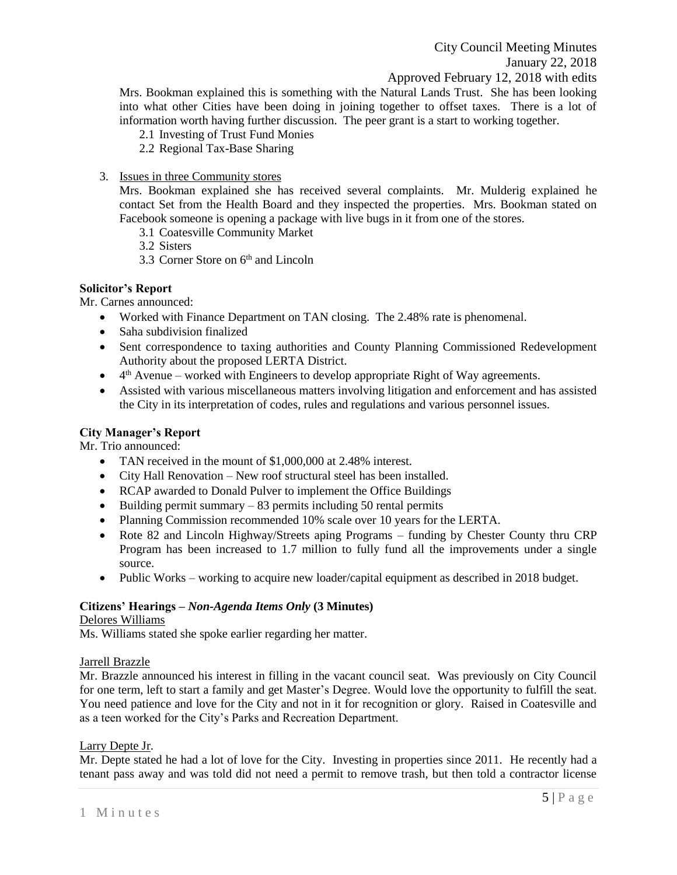Mrs. Bookman explained this is something with the Natural Lands Trust. She has been looking into what other Cities have been doing in joining together to offset taxes. There is a lot of information worth having further discussion. The peer grant is a start to working together.

- 2.1 Investing of Trust Fund Monies
- 2.2 Regional Tax-Base Sharing
- 3. Issues in three Community stores

Mrs. Bookman explained she has received several complaints. Mr. Mulderig explained he contact Set from the Health Board and they inspected the properties. Mrs. Bookman stated on Facebook someone is opening a package with live bugs in it from one of the stores.

- 3.1 Coatesville Community Market
- 3.2 Sisters
- 3.3 Corner Store on 6<sup>th</sup> and Lincoln

# **Solicitor's Report**

Mr. Carnes announced:

- Worked with Finance Department on TAN closing. The 2.48% rate is phenomenal.
- Saha subdivision finalized
- Sent correspondence to taxing authorities and County Planning Commissioned Redevelopment Authority about the proposed LERTA District.
- $\bullet$  4<sup>th</sup> Avenue worked with Engineers to develop appropriate Right of Way agreements.
- Assisted with various miscellaneous matters involving litigation and enforcement and has assisted the City in its interpretation of codes, rules and regulations and various personnel issues.

# **City Manager's Report**

Mr. Trio announced:

- TAN received in the mount of \$1,000,000 at 2.48% interest.
- City Hall Renovation New roof structural steel has been installed.
- RCAP awarded to Donald Pulver to implement the Office Buildings
- $\bullet$  Building permit summary  $-83$  permits including 50 rental permits
- Planning Commission recommended 10% scale over 10 years for the LERTA.
- Rote 82 and Lincoln Highway/Streets aping Programs funding by Chester County thru CRP Program has been increased to 1.7 million to fully fund all the improvements under a single source.
- Public Works working to acquire new loader/capital equipment as described in 2018 budget.

# **Citizens' Hearings –** *Non-Agenda Items Only* **(3 Minutes)**

# Delores Williams

Ms. Williams stated she spoke earlier regarding her matter.

# Jarrell Brazzle

Mr. Brazzle announced his interest in filling in the vacant council seat. Was previously on City Council for one term, left to start a family and get Master's Degree. Would love the opportunity to fulfill the seat. You need patience and love for the City and not in it for recognition or glory. Raised in Coatesville and as a teen worked for the City's Parks and Recreation Department.

# Larry Depte Jr.

Mr. Depte stated he had a lot of love for the City. Investing in properties since 2011. He recently had a tenant pass away and was told did not need a permit to remove trash, but then told a contractor license